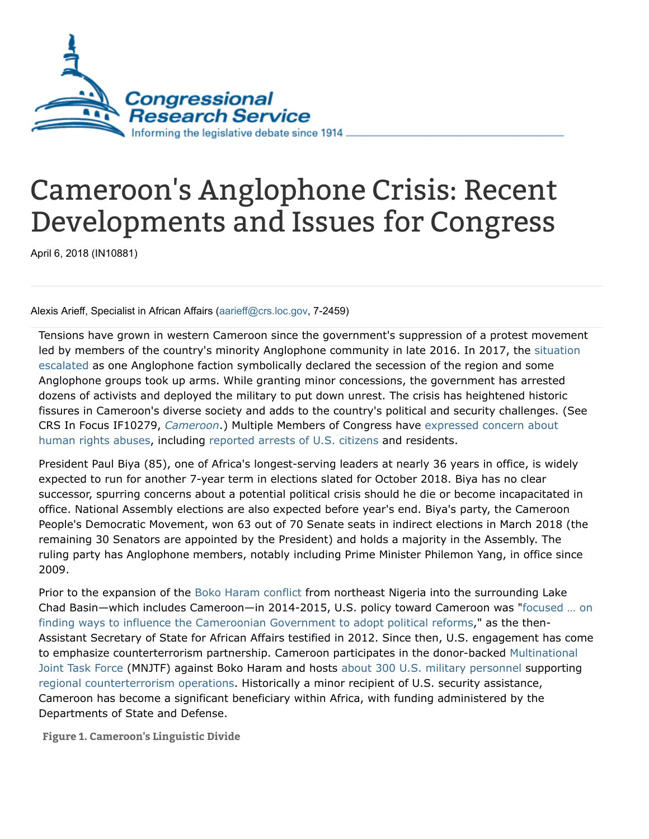

## Cameroon's Anglophone Crisis: Recent Developments and Issues for Congress

April 6, 2018 (IN10881)

Alexis Arieff, Specialist in African Affairs ([aarieff@crs.loc.gov](mailto:aarieff@crs.loc.gov), 7-2459)

Tensions have grown in western Cameroon since the government's suppression of a protest movement led by members of the country's minority Anglophone community in late 2016. In 2017, the situation escalated as one Anglophone faction [symbolically](https://www.crisisgroup.org/africa/central-africa/cameroon/cameroons-anglophone-crisis-dialogue-remains-only-viable-solution) declared the secession of the region and some Anglophone groups took up arms. While granting minor concessions, the government has arrested dozens of activists and deployed the military to put down unrest. The crisis has heightened historic fissures in Cameroon's diverse society and adds to the country's political and security challenges. (See [C](https://www.journalducameroun.com/en/anglophone-protests-pressure-united-states-congress/)RS In Focus IF10279, C[ameroon](http://www.crs.gov/Reports/IF10279).) Multiple Members of Congress have expressed concern about human rights abuses, including [reported](https://www.bostonglobe.com/metro/2017/10/07/cameroon/pFe2Uhi8ucnYelbfPHK2sJ/story.html) arrests of U.S. citizens and residents.

President Paul Biya (85), one of Africa's longest-serving leaders at nearly 36 years in office, is widely expected to run for another 7-year term in elections slated for October 2018. Biya has no clear successor, spurring concerns about a potential political crisis should he die or become incapacitated in office. National Assembly elections are also expected before year's end. Biya's party, the Cameroon People's Democratic Movement, won 63 out of 70 Senate seats in indirect elections in March 2018 (the remaining 30 Senators are appointed by the President) and holds a majority in the Assembly. The ruling party has Anglophone members, notably including Prime Minister Philemon Yang, in office since 2009.

Prior to the expansion of the Boko Haram [conflict](http://www.crs.gov/reports/pdf/IF10173) from northeast Nigeria into the surrounding Lake Chad Basin—which includes [Cameroon—in](https://www.foreign.senate.gov/imo/media/doc/Carson_Testimony1.pdf) 2014-2015, U.S. policy toward Cameroon was "focused … on finding ways to influence the Cameroonian Government to adopt political reforms," as the then-Assistant Secretary of State for African Affairs testified in 2012. Since then, U.S. engagement has come to emphasize [counterterrorism](https://issafrica.org/iss-today/can-the-joint-task-force-against-boko-haram-stay-the-course) partnership. Cameroon participates in the donor-backed Multinational Joint Task Force (MNJTF) against Boko Haram and hosts about 300 U.S. military [personnel](https://www.whitehouse.gov/briefings-statements/text-letter-president-speaker-house-representatives-president-pro-tempore-senate/) supporting regional [counterterrorism](https://www.whitehouse.gov/briefings-statements/text-letter-president-speaker-house-representatives-president-pro-tempore-senate-2/) operations. Historically a minor recipient of U.S. security assistance, Cameroon has become a significant beneficiary within Africa, with funding administered by the Departments of State and Defense.

Figure 1. Cameroon's Linguistic Divide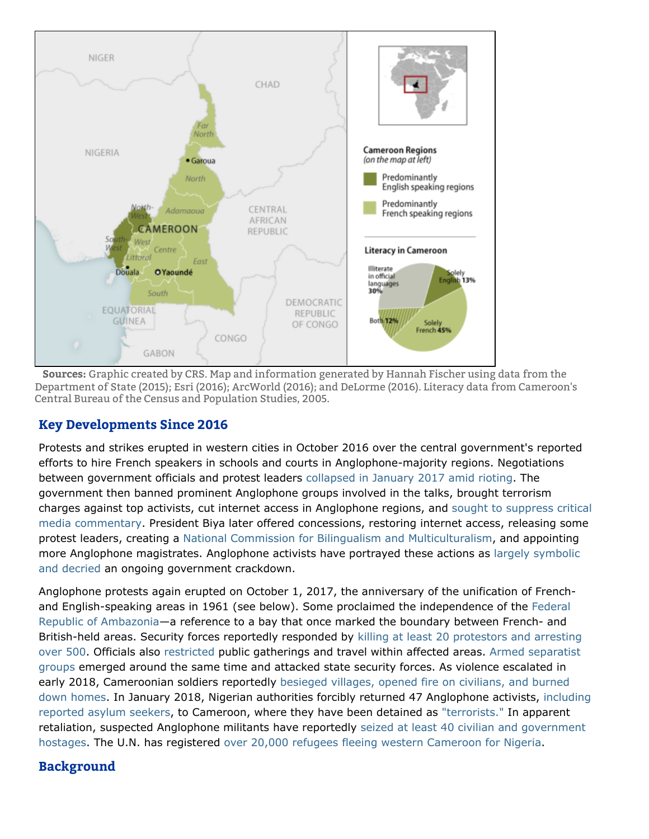

Sources: Graphic created by CRS. Map and information generated by Hannah Fischer using data from the Department of State (2015); Esri (2016); ArcWorld (2016); and DeLorme (2016). Literacy data from Cameroon's Central Bureau of the Census and Population Studies, 2005.

## Key Developments Since 2016

Protests and strikes erupted in western cities in October 2016 over the central government's reported efforts to hire French speakers in schools and courts in Anglophone-majority regions. Negotiations between government officials and protest leaders [collapsed](https://d2071andvip0wj.cloudfront.net/250-cameroons-anglophone-crisis-at-the-crossroads_0.pdf#page=15) in January 2017 amid rioting. The government then banned prominent Anglophone groups involved in the talks, brought terrorism charges against top activists, cut internet access in Anglophone regions, and sought to suppress critical media [commentary.](https://cpj.org/reports/2017/09/journalists-not-terrorists-cameroon-ahmed-abba-anti-terror-imprisoned.php) President Biya later offered concessions, restoring internet access, releasing some protest leaders, creating a National Commission for Bilingualism and [Multiculturalism,](https://www.prc.cm/files/b1/00/4d/1f4edab0eb8fab5df54955177eff43d3.pdf) and appointing more Anglophone [magistrates.](https://d2071andvip0wj.cloudfront.net/250-cameroons-anglophone-crisis-at-the-crossroads_0.pdf#page=17) Anglophone activists have portrayed these actions as largely symbolic and decried an ongoing government crackdown.

Anglophone protests again erupted on October 1, 2017, the anniversary of the unification of Frenchand [English-speaking](http://www.dw.com/en/will-ambazonia-become-africas-newest-country/a-40780904) areas in 1961 (see below). Some proclaimed the independence of the Federal Republic of Ambazonia—a reference to a bay that once marked the boundary between French- and [British-held](https://www.amnesty.org/en/countries/africa/cameroon/report-cameroon/) areas. Security forces reportedly responded by killing at least 20 protestors and arresting over 500. Officials also [restricted](https://www.reuters.com/article/us-cameroon-politics/cameroon-orders-anglophone-region-total-lockdown-for-three-days-idUSKCN1C433Y) public [gatherings](https://www.reuters.com/article/us-cameroon-politics/cameroon-separatists-kill-at-least-two-gendarmes-as-anglophone-dispute-escalates-idUSKBN1D81PH) and travel within affected areas. Armed separatist groups emerged around the same time and attacked state security forces. As violence escalated in early 2018, [Cameroonian](https://www.reuters.com/article/us-cameroon-separatists-exclusive/exclusive-we-are-in-a-war-cameroon-unrest-confronted-by-army-offensive-idUSKBN1FS1Y8) soldiers reportedly besieged villages, opened fire on civilians, and burned down homes. In January 2018, Nigerian authorities forcibly returned 47 [Anglophone](https://www.state.gov/r/pa/prs/ps/2018/02/277988.htm) activists, including reported asylum seekers, to Cameroon, where they have been detained as ["terrorists."](https://www.reuters.com/article/cameroon-separatists-nigeria/update-2-cameroonian-separatist-leader-is-deported-to-cameroon-from-nigeria-idUSL8N1PO5PN) In apparent retaliation, suspected Anglophone militants have reportedly seized at least 40 civilian and [government](https://www.voanews.com/a/armed-anglophone-separatists-in-cameroon-kidnap-40/4303806.html?utm) hostages. The U.N. has registered over 20,000 refugees fleeing western [Cameroon](https://data2.unhcr.org/en/documents/download/62877) for Nigeria.

## Background